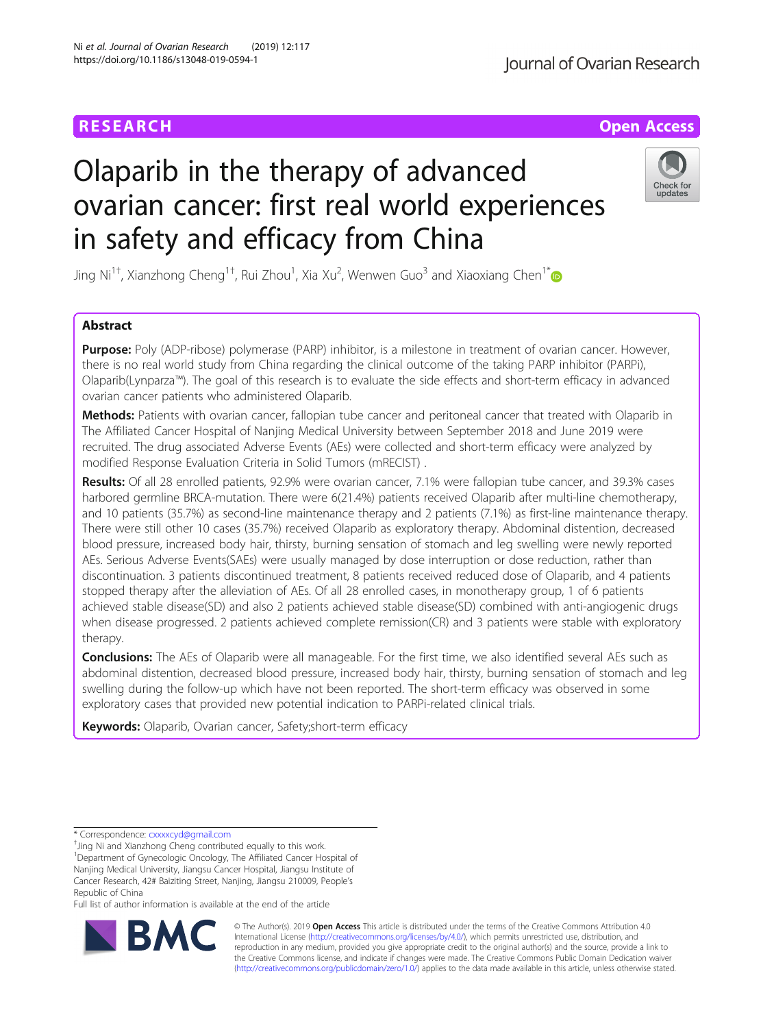# Olaparib in the therapy of advanced ovarian cancer: first real world experiences in safety and efficacy from China

Jing Ni<sup>1†</sup>, Xianzhong Cheng<sup>1†</sup>, Rui Zhou<sup>1</sup>, Xia Xu<sup>2</sup>, Wenwen Guo<sup>3</sup> and Xiaoxiang Chen<sup>1\*</sup>

# Abstract

Purpose: Poly (ADP-ribose) polymerase (PARP) inhibitor, is a milestone in treatment of ovarian cancer. However, there is no real world study from China regarding the clinical outcome of the taking PARP inhibitor (PARPi), Olaparib(Lynparza™). The goal of this research is to evaluate the side effects and short-term efficacy in advanced ovarian cancer patients who administered Olaparib.

Methods: Patients with ovarian cancer, fallopian tube cancer and peritoneal cancer that treated with Olaparib in The Affiliated Cancer Hospital of Nanjing Medical University between September 2018 and June 2019 were recruited. The drug associated Adverse Events (AEs) were collected and short-term efficacy were analyzed by modified Response Evaluation Criteria in Solid Tumors (mRECIST) .

Results: Of all 28 enrolled patients, 92.9% were ovarian cancer, 7.1% were fallopian tube cancer, and 39.3% cases harbored germline BRCA-mutation. There were 6(21.4%) patients received Olaparib after multi-line chemotherapy, and 10 patients (35.7%) as second-line maintenance therapy and 2 patients (7.1%) as first-line maintenance therapy. There were still other 10 cases (35.7%) received Olaparib as exploratory therapy. Abdominal distention, decreased blood pressure, increased body hair, thirsty, burning sensation of stomach and leg swelling were newly reported AEs. Serious Adverse Events(SAEs) were usually managed by dose interruption or dose reduction, rather than discontinuation. 3 patients discontinued treatment, 8 patients received reduced dose of Olaparib, and 4 patients stopped therapy after the alleviation of AEs. Of all 28 enrolled cases, in monotherapy group, 1 of 6 patients achieved stable disease(SD) and also 2 patients achieved stable disease(SD) combined with anti-angiogenic drugs when disease progressed. 2 patients achieved complete remission(CR) and 3 patients were stable with exploratory therapy.

**Conclusions:** The AEs of Olaparib were all manageable. For the first time, we also identified several AEs such as abdominal distention, decreased blood pressure, increased body hair, thirsty, burning sensation of stomach and leg swelling during the follow-up which have not been reported. The short-term efficacy was observed in some exploratory cases that provided new potential indication to PARPi-related clinical trials.

Keywords: Olaparib, Ovarian cancer, Safety; short-term efficacy

RA

Full list of author information is available at the end of the article









<sup>\*</sup> Correspondence: [cxxxxcyd@gmail.com](mailto:cxxxxcyd@gmail.com) †

<sup>&</sup>lt;sup>+</sup> Jing Ni and Xianzhong Cheng contributed equally to this work.

<sup>&</sup>lt;sup>1</sup>Department of Gynecologic Oncology, The Affiliated Cancer Hospital of Nanjing Medical University, Jiangsu Cancer Hospital, Jiangsu Institute of Cancer Research, 42# Baiziting Street, Nanjing, Jiangsu 210009, People's Republic of China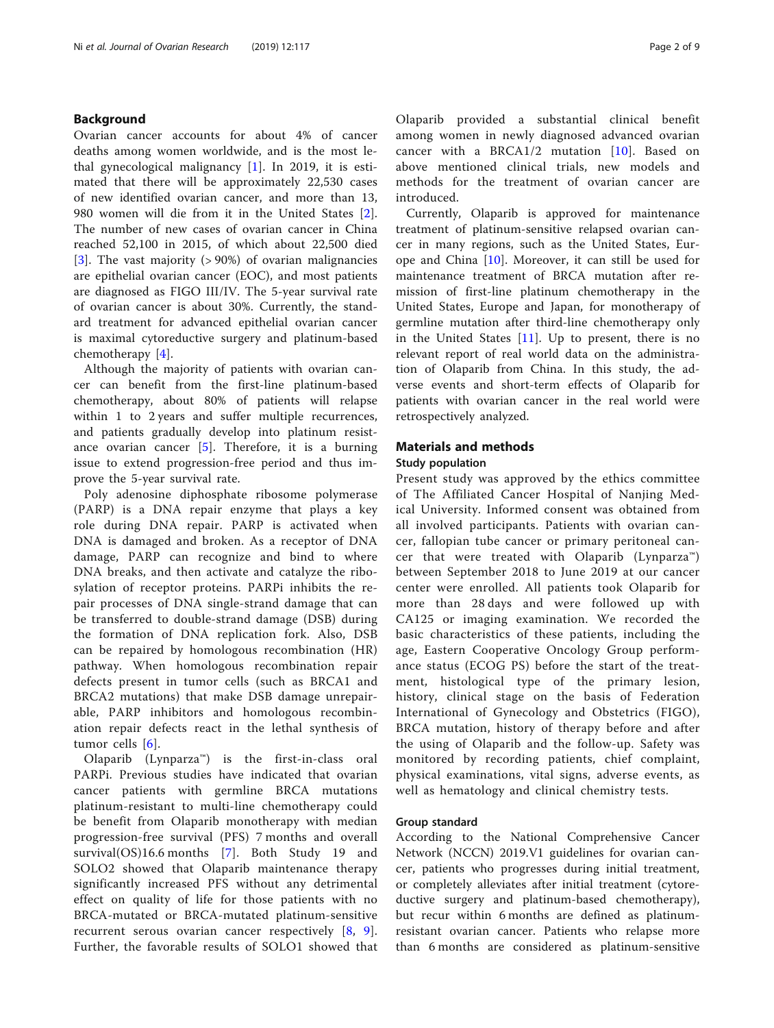# Background

Ovarian cancer accounts for about 4% of cancer deaths among women worldwide, and is the most lethal gynecological malignancy  $[1]$  $[1]$ . In 2019, it is estimated that there will be approximately 22,530 cases of new identified ovarian cancer, and more than 13, 980 women will die from it in the United States [\[2](#page-8-0)]. The number of new cases of ovarian cancer in China reached 52,100 in 2015, of which about 22,500 died [[3\]](#page-8-0). The vast majority (> 90%) of ovarian malignancies are epithelial ovarian cancer (EOC), and most patients are diagnosed as FIGO III/IV. The 5-year survival rate of ovarian cancer is about 30%. Currently, the standard treatment for advanced epithelial ovarian cancer is maximal cytoreductive surgery and platinum-based chemotherapy [[4\]](#page-8-0).

Although the majority of patients with ovarian cancer can benefit from the first-line platinum-based chemotherapy, about 80% of patients will relapse within 1 to 2 years and suffer multiple recurrences, and patients gradually develop into platinum resistance ovarian cancer  $[5]$  $[5]$ . Therefore, it is a burning issue to extend progression-free period and thus improve the 5-year survival rate.

Poly adenosine diphosphate ribosome polymerase (PARP) is a DNA repair enzyme that plays a key role during DNA repair. PARP is activated when DNA is damaged and broken. As a receptor of DNA damage, PARP can recognize and bind to where DNA breaks, and then activate and catalyze the ribosylation of receptor proteins. PARPi inhibits the repair processes of DNA single-strand damage that can be transferred to double-strand damage (DSB) during the formation of DNA replication fork. Also, DSB can be repaired by homologous recombination (HR) pathway. When homologous recombination repair defects present in tumor cells (such as BRCA1 and BRCA2 mutations) that make DSB damage unrepairable, PARP inhibitors and homologous recombination repair defects react in the lethal synthesis of tumor cells [[6](#page-8-0)].

Olaparib (Lynparza<sup>m</sup>) is the first-in-class oral PARPi. Previous studies have indicated that ovarian cancer patients with germline BRCA mutations platinum-resistant to multi-line chemotherapy could be benefit from Olaparib monotherapy with median progression-free survival (PFS) 7 months and overall survival(OS)16.6 months [\[7\]](#page-8-0). Both Study 19 and SOLO2 showed that Olaparib maintenance therapy significantly increased PFS without any detrimental effect on quality of life for those patients with no BRCA-mutated or BRCA-mutated platinum-sensitive recurrent serous ovarian cancer respectively [\[8,](#page-8-0) [9](#page-8-0)]. Further, the favorable results of SOLO1 showed that Olaparib provided a substantial clinical benefit among women in newly diagnosed advanced ovarian cancer with a BRCA1/2 mutation [\[10\]](#page-8-0). Based on above mentioned clinical trials, new models and methods for the treatment of ovarian cancer are introduced.

Currently, Olaparib is approved for maintenance treatment of platinum-sensitive relapsed ovarian cancer in many regions, such as the United States, Europe and China [\[10](#page-8-0)]. Moreover, it can still be used for maintenance treatment of BRCA mutation after remission of first-line platinum chemotherapy in the United States, Europe and Japan, for monotherapy of germline mutation after third-line chemotherapy only in the United States  $[11]$  $[11]$ . Up to present, there is no relevant report of real world data on the administration of Olaparib from China. In this study, the adverse events and short-term effects of Olaparib for patients with ovarian cancer in the real world were retrospectively analyzed.

# Materials and methods

# Study population

Present study was approved by the ethics committee of The Affiliated Cancer Hospital of Nanjing Medical University. Informed consent was obtained from all involved participants. Patients with ovarian cancer, fallopian tube cancer or primary peritoneal cancer that were treated with Olaparib (Lynparza™) between September 2018 to June 2019 at our cancer center were enrolled. All patients took Olaparib for more than 28 days and were followed up with CA125 or imaging examination. We recorded the basic characteristics of these patients, including the age, Eastern Cooperative Oncology Group performance status (ECOG PS) before the start of the treatment, histological type of the primary lesion, history, clinical stage on the basis of Federation International of Gynecology and Obstetrics (FIGO), BRCA mutation, history of therapy before and after the using of Olaparib and the follow-up. Safety was monitored by recording patients, chief complaint, physical examinations, vital signs, adverse events, as well as hematology and clinical chemistry tests.

#### Group standard

According to the National Comprehensive Cancer Network (NCCN) 2019.V1 guidelines for ovarian cancer, patients who progresses during initial treatment, or completely alleviates after initial treatment (cytoreductive surgery and platinum-based chemotherapy), but recur within 6 months are defined as platinumresistant ovarian cancer. Patients who relapse more than 6 months are considered as platinum-sensitive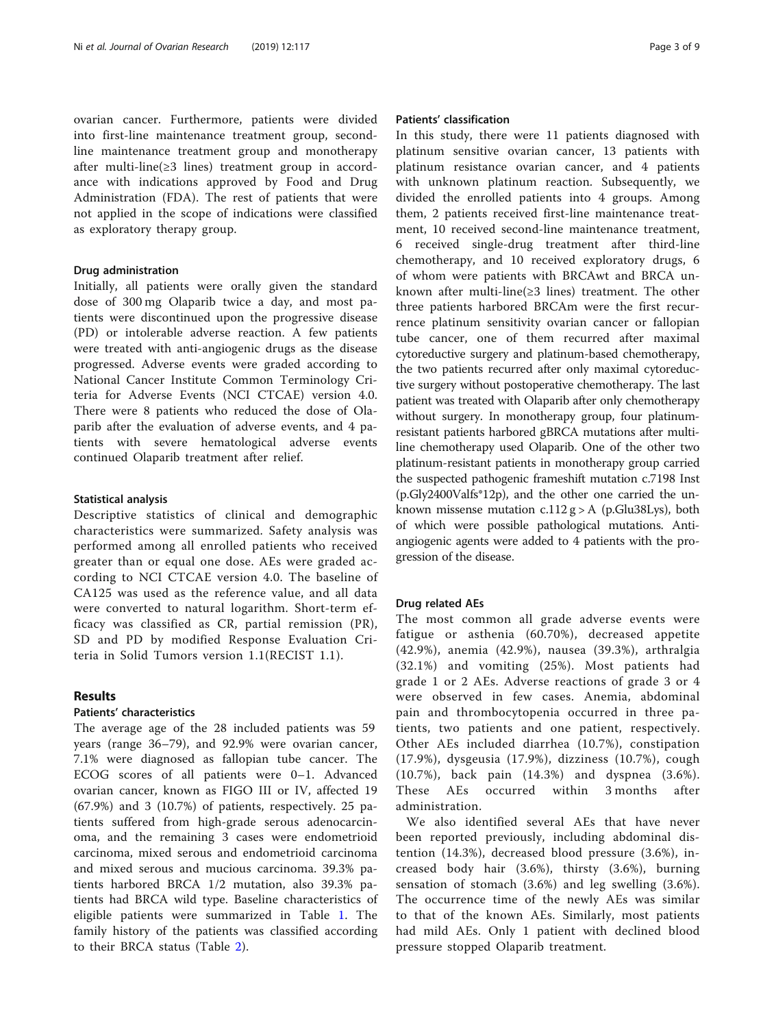ovarian cancer. Furthermore, patients were divided into first-line maintenance treatment group, secondline maintenance treatment group and monotherapy after multi-line(≥3 lines) treatment group in accordance with indications approved by Food and Drug Administration (FDA). The rest of patients that were not applied in the scope of indications were classified as exploratory therapy group.

#### Drug administration

Initially, all patients were orally given the standard dose of 300 mg Olaparib twice a day, and most patients were discontinued upon the progressive disease (PD) or intolerable adverse reaction. A few patients were treated with anti-angiogenic drugs as the disease progressed. Adverse events were graded according to National Cancer Institute Common Terminology Criteria for Adverse Events (NCI CTCAE) version 4.0. There were 8 patients who reduced the dose of Olaparib after the evaluation of adverse events, and 4 patients with severe hematological adverse events continued Olaparib treatment after relief.

## Statistical analysis

Descriptive statistics of clinical and demographic characteristics were summarized. Safety analysis was performed among all enrolled patients who received greater than or equal one dose. AEs were graded according to NCI CTCAE version 4.0. The baseline of CA125 was used as the reference value, and all data were converted to natural logarithm. Short-term efficacy was classified as CR, partial remission (PR), SD and PD by modified Response Evaluation Criteria in Solid Tumors version 1.1(RECIST 1.1).

# Results

# Patients' characteristics

The average age of the 28 included patients was 59 years (range 36–79), and 92.9% were ovarian cancer, 7.1% were diagnosed as fallopian tube cancer. The ECOG scores of all patients were 0–1. Advanced ovarian cancer, known as FIGO III or IV, affected 19 (67.9%) and 3 (10.7%) of patients, respectively. 25 patients suffered from high-grade serous adenocarcinoma, and the remaining 3 cases were endometrioid carcinoma, mixed serous and endometrioid carcinoma and mixed serous and mucious carcinoma. 39.3% patients harbored BRCA 1/2 mutation, also 39.3% patients had BRCA wild type. Baseline characteristics of eligible patients were summarized in Table [1](#page-3-0). The family history of the patients was classified according to their BRCA status (Table [2](#page-3-0)).

# Patients' classification

In this study, there were 11 patients diagnosed with platinum sensitive ovarian cancer, 13 patients with platinum resistance ovarian cancer, and 4 patients with unknown platinum reaction. Subsequently, we divided the enrolled patients into 4 groups. Among them, 2 patients received first-line maintenance treatment, 10 received second-line maintenance treatment, 6 received single-drug treatment after third-line chemotherapy, and 10 received exploratory drugs, 6 of whom were patients with BRCAwt and BRCA unknown after multi-line(≥3 lines) treatment. The other three patients harbored BRCAm were the first recurrence platinum sensitivity ovarian cancer or fallopian tube cancer, one of them recurred after maximal cytoreductive surgery and platinum-based chemotherapy, the two patients recurred after only maximal cytoreductive surgery without postoperative chemotherapy. The last patient was treated with Olaparib after only chemotherapy without surgery. In monotherapy group, four platinumresistant patients harbored gBRCA mutations after multiline chemotherapy used Olaparib. One of the other two platinum-resistant patients in monotherapy group carried the suspected pathogenic frameshift mutation c.7198 Inst (p.Gly2400Valfs\*12p), and the other one carried the unknown missense mutation  $c.112$  g > A (p.Glu38Lys), both of which were possible pathological mutations. Antiangiogenic agents were added to 4 patients with the progression of the disease.

# Drug related AEs

The most common all grade adverse events were fatigue or asthenia (60.70%), decreased appetite (42.9%), anemia (42.9%), nausea (39.3%), arthralgia (32.1%) and vomiting (25%). Most patients had grade 1 or 2 AEs. Adverse reactions of grade 3 or 4 were observed in few cases. Anemia, abdominal pain and thrombocytopenia occurred in three patients, two patients and one patient, respectively. Other AEs included diarrhea (10.7%), constipation (17.9%), dysgeusia (17.9%), dizziness (10.7%), cough (10.7%), back pain (14.3%) and dyspnea (3.6%). These AEs occurred within 3 months after administration.

We also identified several AEs that have never been reported previously, including abdominal distention (14.3%), decreased blood pressure (3.6%), increased body hair (3.6%), thirsty (3.6%), burning sensation of stomach (3.6%) and leg swelling (3.6%). The occurrence time of the newly AEs was similar to that of the known AEs. Similarly, most patients had mild AEs. Only 1 patient with declined blood pressure stopped Olaparib treatment.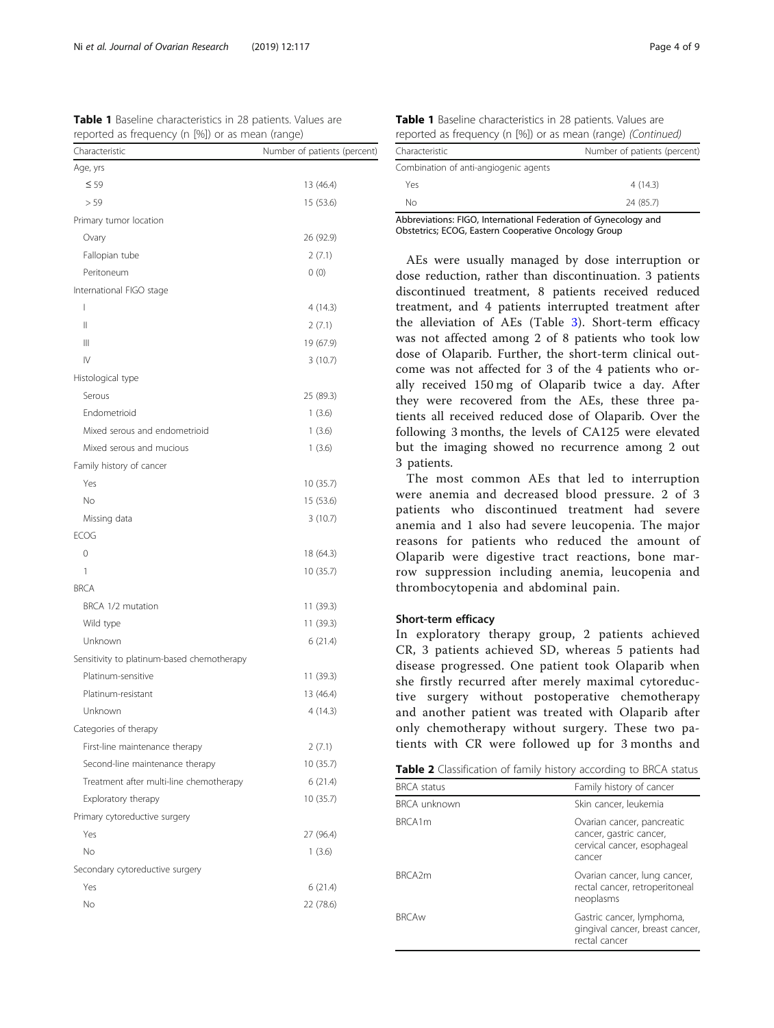<span id="page-3-0"></span>

| <b>Table 1</b> Baseline characteristics in 28 patients. Values are |  |  |  |  |
|--------------------------------------------------------------------|--|--|--|--|
| reported as frequency (n [%]) or as mean (range)                   |  |  |  |  |

| Age, yrs<br>$\leq 59$<br>13 (46.4)<br>> 59<br>15 (53.6)<br>Primary tumor location<br>26 (92.9)<br>Ovary<br>Fallopian tube<br>2(7.1)<br>Peritoneum<br>0(0)<br>International FIGO stage<br>4(14.3)<br>ı<br>$\mathsf{II}$<br>2(7.1)<br>$\mathbb{H}$<br>19 (67.9)<br>IV<br>3(10.7)<br>Histological type<br>Serous<br>25 (89.3)<br>Endometrioid<br>1(3.6)<br>Mixed serous and endometrioid<br>1(3.6)<br>Mixed serous and mucious<br>1(3.6)<br>Family history of cancer<br>Yes<br>10 (35.7)<br>No<br>15 (53.6)<br>Missing data<br>3(10.7)<br><b>ECOG</b><br>0<br>18 (64.3)<br>10(35.7)<br>1<br><b>BRCA</b><br>BRCA 1/2 mutation<br>11 (39.3)<br>Wild type<br>11 (39.3)<br>Unknown<br>6(21.4)<br>Sensitivity to platinum-based chemotherapy<br>Platinum-sensitive<br>11 (39.3)<br>Platinum-resistant<br>13 (46.4)<br>Unknown<br>4 (14.3)<br>Categories of therapy<br>First-line maintenance therapy<br>2(7.1)<br>Second-line maintenance therapy<br>10(35.7)<br>Treatment after multi-line chemotherapy<br>6 (21.4)<br>Exploratory therapy<br>10(35.7)<br>Primary cytoreductive surgery<br>Yes<br>27 (96.4)<br>No.<br>1(3.6)<br>Secondary cytoreductive surgery<br>Yes<br>6 (21.4)<br>No<br>22 (78.6) | ш.<br>Characteristic | Number of patients (percent) |
|------------------------------------------------------------------------------------------------------------------------------------------------------------------------------------------------------------------------------------------------------------------------------------------------------------------------------------------------------------------------------------------------------------------------------------------------------------------------------------------------------------------------------------------------------------------------------------------------------------------------------------------------------------------------------------------------------------------------------------------------------------------------------------------------------------------------------------------------------------------------------------------------------------------------------------------------------------------------------------------------------------------------------------------------------------------------------------------------------------------------------------------------------------------------------------------------|----------------------|------------------------------|
|                                                                                                                                                                                                                                                                                                                                                                                                                                                                                                                                                                                                                                                                                                                                                                                                                                                                                                                                                                                                                                                                                                                                                                                                |                      |                              |
|                                                                                                                                                                                                                                                                                                                                                                                                                                                                                                                                                                                                                                                                                                                                                                                                                                                                                                                                                                                                                                                                                                                                                                                                |                      |                              |
|                                                                                                                                                                                                                                                                                                                                                                                                                                                                                                                                                                                                                                                                                                                                                                                                                                                                                                                                                                                                                                                                                                                                                                                                |                      |                              |
|                                                                                                                                                                                                                                                                                                                                                                                                                                                                                                                                                                                                                                                                                                                                                                                                                                                                                                                                                                                                                                                                                                                                                                                                |                      |                              |
|                                                                                                                                                                                                                                                                                                                                                                                                                                                                                                                                                                                                                                                                                                                                                                                                                                                                                                                                                                                                                                                                                                                                                                                                |                      |                              |
|                                                                                                                                                                                                                                                                                                                                                                                                                                                                                                                                                                                                                                                                                                                                                                                                                                                                                                                                                                                                                                                                                                                                                                                                |                      |                              |
|                                                                                                                                                                                                                                                                                                                                                                                                                                                                                                                                                                                                                                                                                                                                                                                                                                                                                                                                                                                                                                                                                                                                                                                                |                      |                              |
|                                                                                                                                                                                                                                                                                                                                                                                                                                                                                                                                                                                                                                                                                                                                                                                                                                                                                                                                                                                                                                                                                                                                                                                                |                      |                              |
|                                                                                                                                                                                                                                                                                                                                                                                                                                                                                                                                                                                                                                                                                                                                                                                                                                                                                                                                                                                                                                                                                                                                                                                                |                      |                              |
|                                                                                                                                                                                                                                                                                                                                                                                                                                                                                                                                                                                                                                                                                                                                                                                                                                                                                                                                                                                                                                                                                                                                                                                                |                      |                              |
|                                                                                                                                                                                                                                                                                                                                                                                                                                                                                                                                                                                                                                                                                                                                                                                                                                                                                                                                                                                                                                                                                                                                                                                                |                      |                              |
|                                                                                                                                                                                                                                                                                                                                                                                                                                                                                                                                                                                                                                                                                                                                                                                                                                                                                                                                                                                                                                                                                                                                                                                                |                      |                              |
|                                                                                                                                                                                                                                                                                                                                                                                                                                                                                                                                                                                                                                                                                                                                                                                                                                                                                                                                                                                                                                                                                                                                                                                                |                      |                              |
|                                                                                                                                                                                                                                                                                                                                                                                                                                                                                                                                                                                                                                                                                                                                                                                                                                                                                                                                                                                                                                                                                                                                                                                                |                      |                              |
|                                                                                                                                                                                                                                                                                                                                                                                                                                                                                                                                                                                                                                                                                                                                                                                                                                                                                                                                                                                                                                                                                                                                                                                                |                      |                              |
|                                                                                                                                                                                                                                                                                                                                                                                                                                                                                                                                                                                                                                                                                                                                                                                                                                                                                                                                                                                                                                                                                                                                                                                                |                      |                              |
|                                                                                                                                                                                                                                                                                                                                                                                                                                                                                                                                                                                                                                                                                                                                                                                                                                                                                                                                                                                                                                                                                                                                                                                                |                      |                              |
|                                                                                                                                                                                                                                                                                                                                                                                                                                                                                                                                                                                                                                                                                                                                                                                                                                                                                                                                                                                                                                                                                                                                                                                                |                      |                              |
|                                                                                                                                                                                                                                                                                                                                                                                                                                                                                                                                                                                                                                                                                                                                                                                                                                                                                                                                                                                                                                                                                                                                                                                                |                      |                              |
|                                                                                                                                                                                                                                                                                                                                                                                                                                                                                                                                                                                                                                                                                                                                                                                                                                                                                                                                                                                                                                                                                                                                                                                                |                      |                              |
|                                                                                                                                                                                                                                                                                                                                                                                                                                                                                                                                                                                                                                                                                                                                                                                                                                                                                                                                                                                                                                                                                                                                                                                                |                      |                              |
|                                                                                                                                                                                                                                                                                                                                                                                                                                                                                                                                                                                                                                                                                                                                                                                                                                                                                                                                                                                                                                                                                                                                                                                                |                      |                              |
|                                                                                                                                                                                                                                                                                                                                                                                                                                                                                                                                                                                                                                                                                                                                                                                                                                                                                                                                                                                                                                                                                                                                                                                                |                      |                              |
|                                                                                                                                                                                                                                                                                                                                                                                                                                                                                                                                                                                                                                                                                                                                                                                                                                                                                                                                                                                                                                                                                                                                                                                                |                      |                              |
|                                                                                                                                                                                                                                                                                                                                                                                                                                                                                                                                                                                                                                                                                                                                                                                                                                                                                                                                                                                                                                                                                                                                                                                                |                      |                              |
|                                                                                                                                                                                                                                                                                                                                                                                                                                                                                                                                                                                                                                                                                                                                                                                                                                                                                                                                                                                                                                                                                                                                                                                                |                      |                              |
|                                                                                                                                                                                                                                                                                                                                                                                                                                                                                                                                                                                                                                                                                                                                                                                                                                                                                                                                                                                                                                                                                                                                                                                                |                      |                              |
|                                                                                                                                                                                                                                                                                                                                                                                                                                                                                                                                                                                                                                                                                                                                                                                                                                                                                                                                                                                                                                                                                                                                                                                                |                      |                              |
|                                                                                                                                                                                                                                                                                                                                                                                                                                                                                                                                                                                                                                                                                                                                                                                                                                                                                                                                                                                                                                                                                                                                                                                                |                      |                              |
|                                                                                                                                                                                                                                                                                                                                                                                                                                                                                                                                                                                                                                                                                                                                                                                                                                                                                                                                                                                                                                                                                                                                                                                                |                      |                              |
|                                                                                                                                                                                                                                                                                                                                                                                                                                                                                                                                                                                                                                                                                                                                                                                                                                                                                                                                                                                                                                                                                                                                                                                                |                      |                              |
|                                                                                                                                                                                                                                                                                                                                                                                                                                                                                                                                                                                                                                                                                                                                                                                                                                                                                                                                                                                                                                                                                                                                                                                                |                      |                              |
|                                                                                                                                                                                                                                                                                                                                                                                                                                                                                                                                                                                                                                                                                                                                                                                                                                                                                                                                                                                                                                                                                                                                                                                                |                      |                              |
|                                                                                                                                                                                                                                                                                                                                                                                                                                                                                                                                                                                                                                                                                                                                                                                                                                                                                                                                                                                                                                                                                                                                                                                                |                      |                              |
|                                                                                                                                                                                                                                                                                                                                                                                                                                                                                                                                                                                                                                                                                                                                                                                                                                                                                                                                                                                                                                                                                                                                                                                                |                      |                              |
|                                                                                                                                                                                                                                                                                                                                                                                                                                                                                                                                                                                                                                                                                                                                                                                                                                                                                                                                                                                                                                                                                                                                                                                                |                      |                              |
|                                                                                                                                                                                                                                                                                                                                                                                                                                                                                                                                                                                                                                                                                                                                                                                                                                                                                                                                                                                                                                                                                                                                                                                                |                      |                              |
|                                                                                                                                                                                                                                                                                                                                                                                                                                                                                                                                                                                                                                                                                                                                                                                                                                                                                                                                                                                                                                                                                                                                                                                                |                      |                              |
|                                                                                                                                                                                                                                                                                                                                                                                                                                                                                                                                                                                                                                                                                                                                                                                                                                                                                                                                                                                                                                                                                                                                                                                                |                      |                              |
|                                                                                                                                                                                                                                                                                                                                                                                                                                                                                                                                                                                                                                                                                                                                                                                                                                                                                                                                                                                                                                                                                                                                                                                                |                      |                              |
|                                                                                                                                                                                                                                                                                                                                                                                                                                                                                                                                                                                                                                                                                                                                                                                                                                                                                                                                                                                                                                                                                                                                                                                                |                      |                              |
|                                                                                                                                                                                                                                                                                                                                                                                                                                                                                                                                                                                                                                                                                                                                                                                                                                                                                                                                                                                                                                                                                                                                                                                                |                      |                              |
|                                                                                                                                                                                                                                                                                                                                                                                                                                                                                                                                                                                                                                                                                                                                                                                                                                                                                                                                                                                                                                                                                                                                                                                                |                      |                              |

| Table 1 Baseline characteristics in 28 patients. Values are |  |  |                                                              |  |
|-------------------------------------------------------------|--|--|--------------------------------------------------------------|--|
|                                                             |  |  | reported as frequency (n [%]) or as mean (range) (Continued) |  |

| Characteristic                                                 | Number of patients (percent) |  |
|----------------------------------------------------------------|------------------------------|--|
| Combination of anti-angiogenic agents                          |                              |  |
| Yes                                                            | 4(14.3)                      |  |
| Nο                                                             | 24 (85.7)                    |  |
| Abbreviations: EIGO International Eederation of Gynecology and |                              |  |

ology and: Obstetrics; ECOG, Eastern Cooperative Oncology Group

AEs were usually managed by dose interruption or dose reduction, rather than discontinuation. 3 patients discontinued treatment, 8 patients received reduced treatment, and 4 patients interrupted treatment after the alleviation of AEs (Table [3\)](#page-4-0). Short-term efficacy was not affected among 2 of 8 patients who took low dose of Olaparib. Further, the short-term clinical outcome was not affected for 3 of the 4 patients who orally received 150 mg of Olaparib twice a day. After they were recovered from the AEs, these three patients all received reduced dose of Olaparib. Over the following 3 months, the levels of CA125 were elevated but the imaging showed no recurrence among 2 out 3 patients.

The most common AEs that led to interruption were anemia and decreased blood pressure. 2 of 3 patients who discontinued treatment had severe anemia and 1 also had severe leucopenia. The major reasons for patients who reduced the amount of Olaparib were digestive tract reactions, bone marrow suppression including anemia, leucopenia and thrombocytopenia and abdominal pain.

# Short-term efficacy

In exploratory therapy group, 2 patients achieved CR, 3 patients achieved SD, whereas 5 patients had disease progressed. One patient took Olaparib when she firstly recurred after merely maximal cytoreductive surgery without postoperative chemotherapy and another patient was treated with Olaparib after only chemotherapy without surgery. These two patients with CR were followed up for 3 months and

| Table 2 Classification of family history according to BRCA status |  |  |  |
|-------------------------------------------------------------------|--|--|--|
|-------------------------------------------------------------------|--|--|--|

| <b>BRCA</b> status  | Family history of cancer                                                                       |
|---------------------|------------------------------------------------------------------------------------------------|
| <b>BRCA unknown</b> | Skin cancer, leukemia                                                                          |
| BRCA1m              | Ovarian cancer, pancreatic<br>cancer, gastric cancer,<br>cervical cancer, esophageal<br>cancer |
| BRCA <sub>2</sub> m | Ovarian cancer, lung cancer,<br>rectal cancer, retroperitoneal<br>neoplasms                    |
| <b>BRCAw</b>        | Gastric cancer, lymphoma,<br>gingival cancer, breast cancer,<br>rectal cancer                  |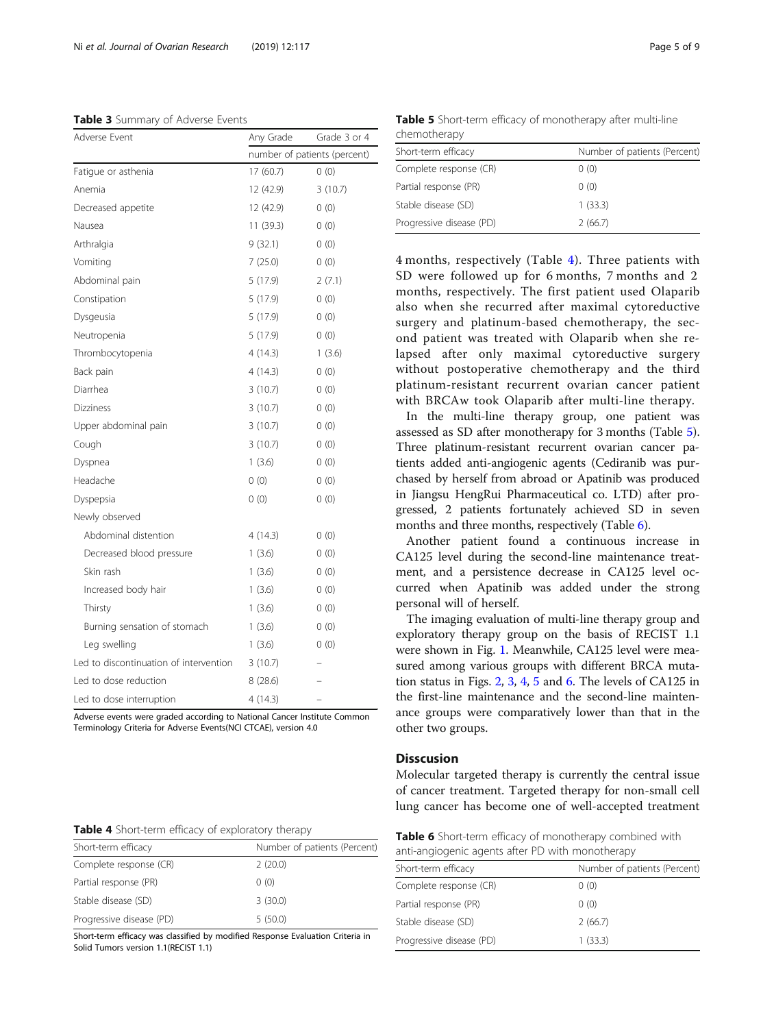<span id="page-4-0"></span>Table 3 Summary of Adverse Events

| Adverse Event                          | Any Grade                    | Grade 3 or 4 |  |  |
|----------------------------------------|------------------------------|--------------|--|--|
|                                        | number of patients (percent) |              |  |  |
| Fatigue or asthenia                    | 17 (60.7)                    | 0(0)         |  |  |
| Anemia                                 | 12 (42.9)                    | 3(10.7)      |  |  |
| Decreased appetite                     | 12 (42.9)                    | 0(0)         |  |  |
| Nausea                                 | 11 (39.3)                    | 0(0)         |  |  |
| Arthralgia                             | 9(32.1)                      | 0(0)         |  |  |
| Vomiting                               | 7 (25.0)                     | 0(0)         |  |  |
| Abdominal pain                         | 5 (17.9)                     | 2(7.1)       |  |  |
| Constipation                           | 5(17.9)                      | 0(0)         |  |  |
| Dysgeusia                              | 5(17.9)                      | 0(0)         |  |  |
| Neutropenia                            | 5 (17.9)                     | 0(0)         |  |  |
| Thrombocytopenia                       | 4(14.3)                      | 1(3.6)       |  |  |
| Back pain                              | 4 (14.3)                     | 0(0)         |  |  |
| Diarrhea                               | 3(10.7)                      | 0(0)         |  |  |
| Dizziness                              | 3(10.7)                      | 0(0)         |  |  |
| Upper abdominal pain                   | 3(10.7)                      | 0(0)         |  |  |
| Cough                                  | 3(10.7)                      | 0(0)         |  |  |
| Dyspnea                                | 1(3.6)                       | 0(0)         |  |  |
| Headache                               | 0(0)                         | 0(0)         |  |  |
| Dyspepsia                              | 0(0)                         | 0(0)         |  |  |
| Newly observed                         |                              |              |  |  |
| Abdominal distention                   | 4(14.3)                      | 0(0)         |  |  |
| Decreased blood pressure               | 1(3.6)                       | 0(0)         |  |  |
| Skin rash                              | 1(3.6)                       | 0(0)         |  |  |
| Increased body hair                    | 1(3.6)                       | 0(0)         |  |  |
| Thirsty                                | 1(3.6)                       | 0(0)         |  |  |
| Burning sensation of stomach           | 1(3.6)                       | 0(0)         |  |  |
| Leg swelling                           | 1(3.6)                       | 0(0)         |  |  |
| Led to discontinuation of intervention | 3(10.7)                      |              |  |  |
| Led to dose reduction                  | 8 (28.6)                     |              |  |  |
| Led to dose interruption               | 4(14.3)                      |              |  |  |

Adverse events were graded according to National Cancer Institute Common Terminology Criteria for Adverse Events(NCI CTCAE), version 4.0

|  |  |  |  | Table 4 Short-term efficacy of exploratory therapy |
|--|--|--|--|----------------------------------------------------|
|--|--|--|--|----------------------------------------------------|

| Short-term efficacy      | Number of patients (Percent) |
|--------------------------|------------------------------|
| Complete response (CR)   | 2(20.0)                      |
| Partial response (PR)    | 0(0)                         |
| Stable disease (SD)      | 3(30.0)                      |
| Progressive disease (PD) | 5(50.0)                      |

Short-term efficacy was classified by modified Response Evaluation Criteria in Solid Tumors version 1.1(RECIST 1.1)

Table 5 Short-term efficacy of monotherapy after multi-line chemotherapy

| Number of patients (Percent) |
|------------------------------|
| 0(0)                         |
| 0(0)                         |
| 1(33.3)                      |
| 2(66.7)                      |
|                              |

4 months, respectively (Table 4). Three patients with SD were followed up for 6 months, 7 months and 2 months, respectively. The first patient used Olaparib also when she recurred after maximal cytoreductive surgery and platinum-based chemotherapy, the second patient was treated with Olaparib when she relapsed after only maximal cytoreductive surgery without postoperative chemotherapy and the third platinum-resistant recurrent ovarian cancer patient with BRCAw took Olaparib after multi-line therapy.

In the multi-line therapy group, one patient was assessed as SD after monotherapy for 3 months (Table 5). Three platinum-resistant recurrent ovarian cancer patients added anti-angiogenic agents (Cediranib was purchased by herself from abroad or Apatinib was produced in Jiangsu HengRui Pharmaceutical co. LTD) after progressed, 2 patients fortunately achieved SD in seven months and three months, respectively (Table 6).

Another patient found a continuous increase in CA125 level during the second-line maintenance treatment, and a persistence decrease in CA125 level occurred when Apatinib was added under the strong personal will of herself.

The imaging evaluation of multi-line therapy group and exploratory therapy group on the basis of RECIST 1.1 were shown in Fig. [1](#page-5-0). Meanwhile, CA125 level were measured among various groups with different BRCA mutation status in Figs. [2,](#page-5-0) [3,](#page-6-0) [4](#page-6-0), [5](#page-7-0) and [6.](#page-7-0) The levels of CA125 in the first-line maintenance and the second-line maintenance groups were comparatively lower than that in the other two groups.

# **Disscusion**

Molecular targeted therapy is currently the central issue of cancer treatment. Targeted therapy for non-small cell lung cancer has become one of well-accepted treatment

| Table 6 Short-term efficacy of monotherapy combined with |  |
|----------------------------------------------------------|--|
| anti-angiogenic agents after PD with monotherapy         |  |

| Short-term efficacy      | Number of patients (Percent) |
|--------------------------|------------------------------|
| Complete response (CR)   | 0(0)                         |
| Partial response (PR)    | 0(0)                         |
| Stable disease (SD)      | 2(66.7)                      |
| Progressive disease (PD) | 1(33.3)                      |
|                          |                              |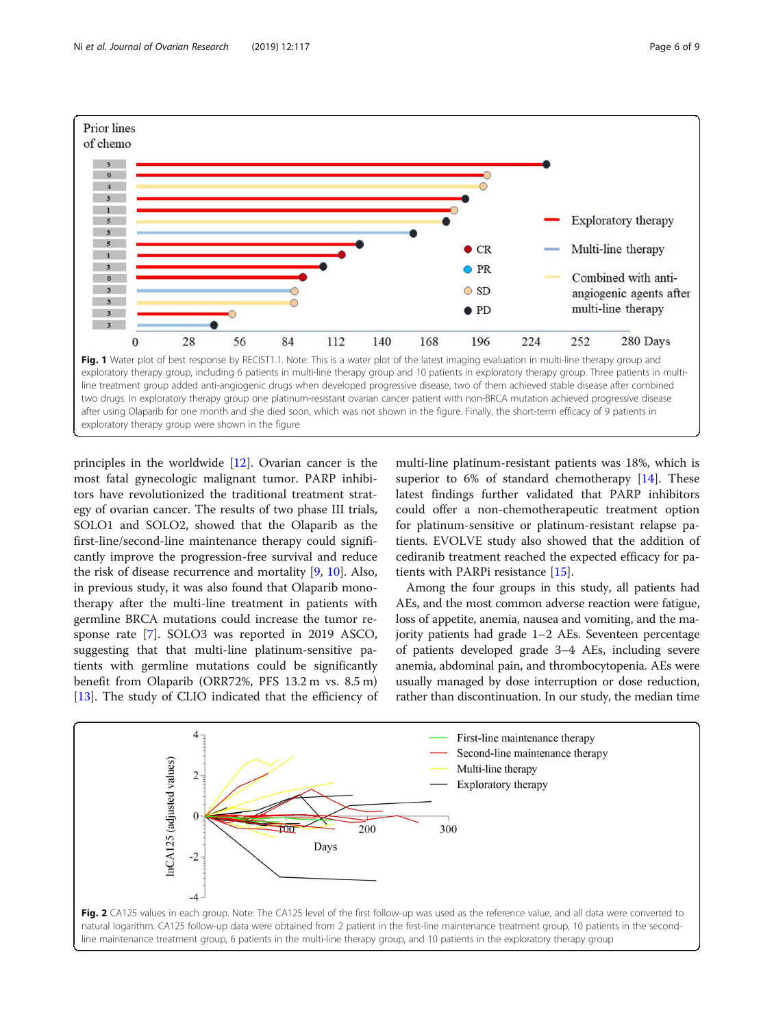principles in the worldwide [[12\]](#page-8-0). Ovarian cancer is the most fatal gynecologic malignant tumor. PARP inhibitors have revolutionized the traditional treatment strategy of ovarian cancer. The results of two phase III trials, SOLO1 and SOLO2, showed that the Olaparib as the first-line/second-line maintenance therapy could significantly improve the progression-free survival and reduce the risk of disease recurrence and mortality [[9,](#page-8-0) [10\]](#page-8-0). Also, in previous study, it was also found that Olaparib monotherapy after the multi-line treatment in patients with germline BRCA mutations could increase the tumor response rate [\[7](#page-8-0)]. SOLO3 was reported in 2019 ASCO, suggesting that that multi-line platinum-sensitive patients with germline mutations could be significantly benefit from Olaparib (ORR72%, PFS 13.2 m vs. 8.5 m) [[13\]](#page-8-0). The study of CLIO indicated that the efficiency of

multi-line platinum-resistant patients was 18%, which is superior to 6% of standard chemotherapy [[14\]](#page-8-0). These latest findings further validated that PARP inhibitors could offer a non-chemotherapeutic treatment option for platinum-sensitive or platinum-resistant relapse patients. EVOLVE study also showed that the addition of cediranib treatment reached the expected efficacy for patients with PARPi resistance [[15](#page-8-0)].

Among the four groups in this study, all patients had AEs, and the most common adverse reaction were fatigue, loss of appetite, anemia, nausea and vomiting, and the majority patients had grade 1–2 AEs. Seventeen percentage of patients developed grade 3–4 AEs, including severe anemia, abdominal pain, and thrombocytopenia. AEs were usually managed by dose interruption or dose reduction, rather than discontinuation. In our study, the median time



<span id="page-5-0"></span>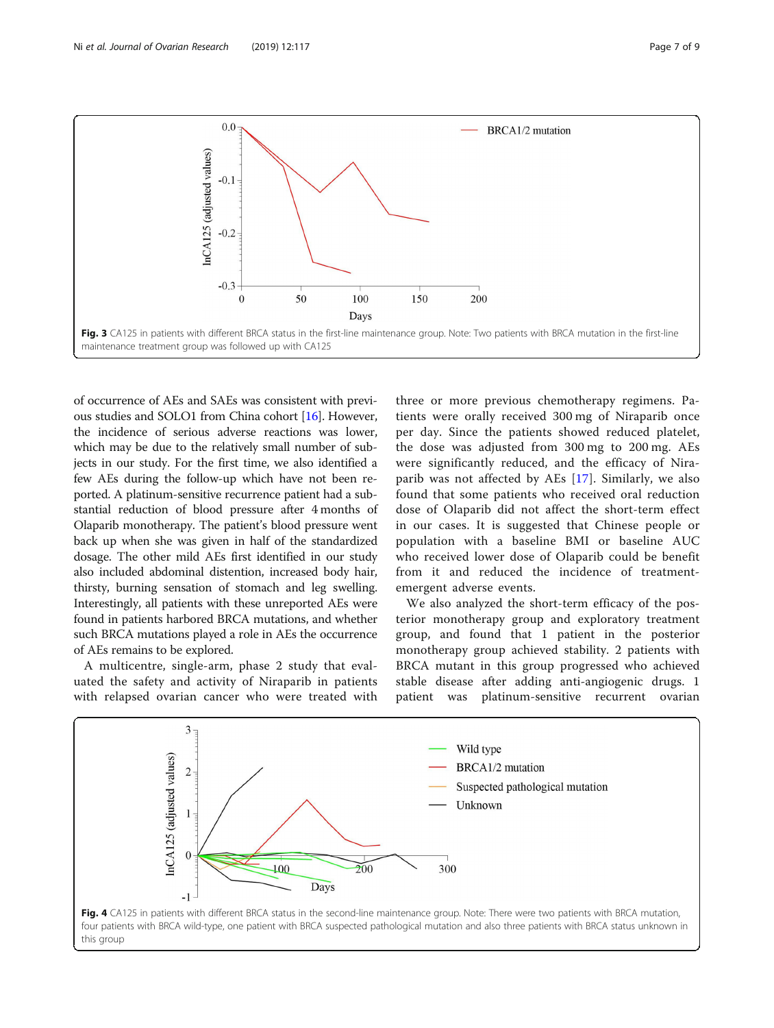<span id="page-6-0"></span>

of occurrence of AEs and SAEs was consistent with previous studies and SOLO1 from China cohort [\[16\]](#page-8-0). However, the incidence of serious adverse reactions was lower, which may be due to the relatively small number of subjects in our study. For the first time, we also identified a few AEs during the follow-up which have not been reported. A platinum-sensitive recurrence patient had a substantial reduction of blood pressure after 4 months of Olaparib monotherapy. The patient's blood pressure went back up when she was given in half of the standardized dosage. The other mild AEs first identified in our study also included abdominal distention, increased body hair, thirsty, burning sensation of stomach and leg swelling. Interestingly, all patients with these unreported AEs were found in patients harbored BRCA mutations, and whether such BRCA mutations played a role in AEs the occurrence of AEs remains to be explored.

A multicentre, single-arm, phase 2 study that evaluated the safety and activity of Niraparib in patients with relapsed ovarian cancer who were treated with

three or more previous chemotherapy regimens. Patients were orally received 300 mg of Niraparib once per day. Since the patients showed reduced platelet, the dose was adjusted from 300 mg to 200 mg. AEs were significantly reduced, and the efficacy of Niraparib was not affected by AEs [\[17](#page-8-0)]. Similarly, we also found that some patients who received oral reduction dose of Olaparib did not affect the short-term effect in our cases. It is suggested that Chinese people or population with a baseline BMI or baseline AUC who received lower dose of Olaparib could be benefit from it and reduced the incidence of treatmentemergent adverse events.

We also analyzed the short-term efficacy of the posterior monotherapy group and exploratory treatment group, and found that 1 patient in the posterior monotherapy group achieved stability. 2 patients with BRCA mutant in this group progressed who achieved stable disease after adding anti-angiogenic drugs. 1 patient was platinum-sensitive recurrent ovarian

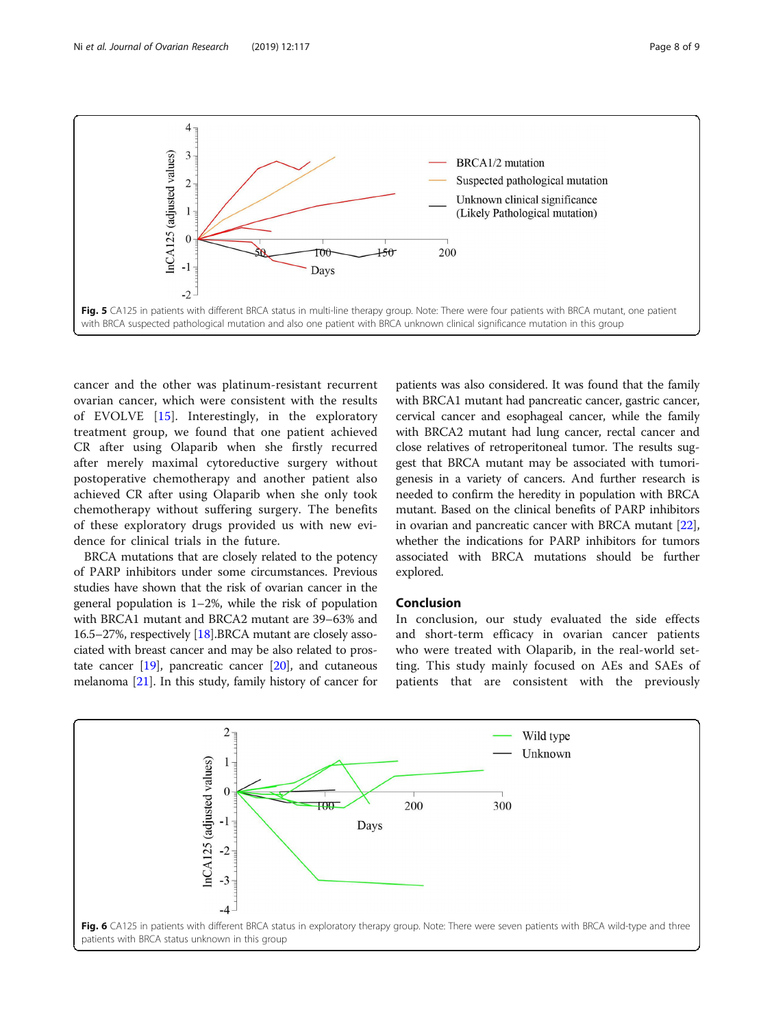<span id="page-7-0"></span>

cancer and the other was platinum-resistant recurrent ovarian cancer, which were consistent with the results of EVOLVE [[15\]](#page-8-0). Interestingly, in the exploratory treatment group, we found that one patient achieved CR after using Olaparib when she firstly recurred after merely maximal cytoreductive surgery without postoperative chemotherapy and another patient also achieved CR after using Olaparib when she only took chemotherapy without suffering surgery. The benefits of these exploratory drugs provided us with new evidence for clinical trials in the future.

BRCA mutations that are closely related to the potency of PARP inhibitors under some circumstances. Previous studies have shown that the risk of ovarian cancer in the general population is 1–2%, while the risk of population with BRCA1 mutant and BRCA2 mutant are 39–63% and 16.5–27%, respectively [\[18\]](#page-8-0).BRCA mutant are closely associated with breast cancer and may be also related to prostate cancer  $[19]$  $[19]$  $[19]$ , pancreatic cancer  $[20]$  $[20]$  $[20]$ , and cutaneous melanoma [\[21\]](#page-8-0). In this study, family history of cancer for

patients was also considered. It was found that the family with BRCA1 mutant had pancreatic cancer, gastric cancer, cervical cancer and esophageal cancer, while the family with BRCA2 mutant had lung cancer, rectal cancer and close relatives of retroperitoneal tumor. The results suggest that BRCA mutant may be associated with tumorigenesis in a variety of cancers. And further research is needed to confirm the heredity in population with BRCA mutant. Based on the clinical benefits of PARP inhibitors in ovarian and pancreatic cancer with BRCA mutant [[22](#page-8-0)], whether the indications for PARP inhibitors for tumors associated with BRCA mutations should be further explored.

# Conclusion

In conclusion, our study evaluated the side effects and short-term efficacy in ovarian cancer patients who were treated with Olaparib, in the real-world setting. This study mainly focused on AEs and SAEs of patients that are consistent with the previously